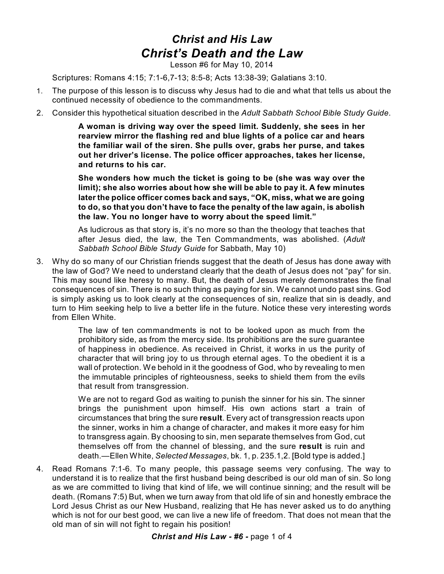## *Christ and His Law Christ's Death and the Law*

Lesson #6 for May 10, 2014

Scriptures: Romans 4:15; 7:1-6,7-13; 8:5-8; Acts 13:38-39; Galatians 3:10.

- 1. The purpose of this lesson is to discuss why Jesus had to die and what that tells us about the continued necessity of obedience to the commandments.
- 2. Consider this hypothetical situation described in the *Adult Sabbath School Bible Study Guide*.

**A woman is driving way over the speed limit. Suddenly, she sees in her rearview mirror the flashing red and blue lights of a police car and hears the familiar wail of the siren. She pulls over, grabs her purse, and takes out her driver's license. The police officer approaches, takes her license, and returns to his car.**

**She wonders how much the ticket is going to be (she was way over the limit); she also worries about how she will be able to pay it. A few minutes later the police officer comes back and says, "OK, miss, what we are going to do, so that you don't have to face the penalty of the law again, is abolish the law. You no longer have to worry about the speed limit."**

As ludicrous as that story is, it's no more so than the theology that teaches that after Jesus died, the law, the Ten Commandments, was abolished. (*Adult Sabbath School Bible Study Guide* for Sabbath, May 10)

3. Why do so many of our Christian friends suggest that the death of Jesus has done away with the law of God? We need to understand clearly that the death of Jesus does not "pay" for sin. This may sound like heresy to many. But, the death of Jesus merely demonstrates the final consequences of sin. There is no such thing as paying for sin. We cannot undo past sins. God is simply asking us to look clearly at the consequences of sin, realize that sin is deadly, and turn to Him seeking help to live a better life in the future. Notice these very interesting words from Ellen White.

> The law of ten commandments is not to be looked upon as much from the prohibitory side, as from the mercy side. Its prohibitions are the sure guarantee of happiness in obedience. As received in Christ, it works in us the purity of character that will bring joy to us through eternal ages. To the obedient it is a wall of protection. We behold in it the goodness of God, who by revealing to men the immutable principles of righteousness, seeks to shield them from the evils that result from transgression.

> We are not to regard God as waiting to punish the sinner for his sin. The sinner brings the punishment upon himself. His own actions start a train of circumstances that bring the sure **result**. Every act of transgression reacts upon the sinner, works in him a change of character, and makes it more easy for him to transgress again. By choosing to sin, men separate themselves from God, cut themselves off from the channel of blessing, and the sure **result** is ruin and death.—Ellen White, *Selected Messages*, bk. 1, p. 235.1,2. [Bold type is added.]

4. Read Romans 7:1-6. To many people, this passage seems very confusing. The way to understand it is to realize that the first husband being described is our old man of sin. So long as we are committed to living that kind of life, we will continue sinning; and the result will be death. (Romans 7:5) But, when we turn away from that old life of sin and honestly embrace the Lord Jesus Christ as our New Husband, realizing that He has never asked us to do anything which is not for our best good, we can live a new life of freedom. That does not mean that the old man of sin will not fight to regain his position!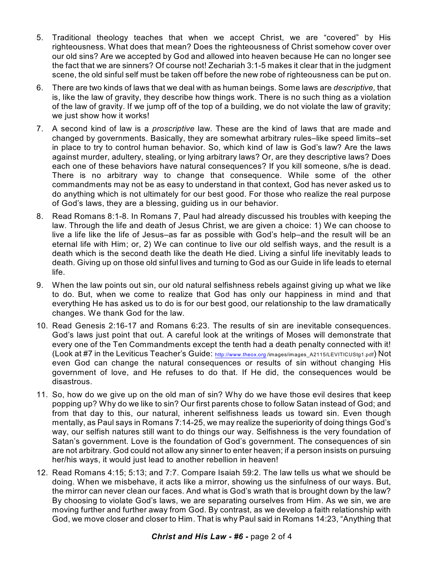- 5. Traditional theology teaches that when we accept Christ, we are "covered" by His righteousness. What does that mean? Does the righteousness of Christ somehow cover over our old sins? Are we accepted by God and allowed into heaven because He can no longer see the fact that we are sinners? Of course not! Zechariah 3:1-5 makes it clear that in the judgment scene, the old sinful self must be taken off before the new robe of righteousness can be put on.
- 6. There are two kinds of laws that we deal with as human beings. Some laws are *descriptive,* that is, like the law of gravity, they describe how things work. There is no such thing as a violation of the law of gravity. If we jump off of the top of a building, we do not violate the law of gravity; we just show how it works!
- 7. A second kind of law is a *proscriptive* law. These are the kind of laws that are made and changed by governments. Basically, they are somewhat arbitrary rules–like speed limits–set in place to try to control human behavior. So, which kind of law is God's law? Are the laws against murder, adultery, stealing, or lying arbitrary laws? Or, are they descriptive laws? Does each one of these behaviors have natural consequences? If you kill someone, s/he is dead. There is no arbitrary way to change that consequence. While some of the other commandments may not be as easy to understand in that context, God has never asked us to do anything which is not ultimately for our best good. For those who realize the real purpose of God's laws, they are a blessing, guiding us in our behavior.
- 8. Read Romans 8:1-8. In Romans 7, Paul had already discussed his troubles with keeping the law. Through the life and death of Jesus Christ, we are given a choice: 1) We can choose to live a life like the life of Jesus–as far as possible with God's help–and the result will be an eternal life with Him; or, 2) We can continue to live our old selfish ways, and the result is a death which is the second death like the death He died. Living a sinful life inevitably leads to death. Giving up on those old sinful lives and turning to God as our Guide in life leads to eternal life.
- 9. When the law points out sin, our old natural selfishness rebels against giving up what we like to do. But, when we come to realize that God has only our happiness in mind and that everything He has asked us to do is for our best good, our relationship to the law dramatically changes. We thank God for the law.
- 10. Read Genesis 2:16-17 and Romans 6:23. The results of sin are inevitable consequences. God's laws just point that out. A careful look at the writings of Moses will demonstrate that every one of the Ten Commandments except the tenth had a death penalty connected with it! (Look at #7 in the Leviticus Teacher's Guide: http://www.theox.org [/images/images\\_A2115/LEVITICUStg1.pdf](http://www.theox.org)) Not even God can change the natural consequences or results of sin without changing His government of love, and He refuses to do that. If He did, the consequences would be disastrous.
- 11. So, how do we give up on the old man of sin? Why do we have those evil desires that keep popping up? Why do we like to sin? Our first parents chose to follow Satan instead of God; and from that day to this, our natural, inherent selfishness leads us toward sin. Even though mentally, as Paul says in Romans 7:14-25, we may realize the superiority of doing things God's way, our selfish natures still want to do things our way. Selfishness is the very foundation of Satan's government. Love is the foundation of God's government. The consequences of sin are not arbitrary. God could not allow any sinner to enter heaven; if a person insists on pursuing her/his ways, it would just lead to another rebellion in heaven!
- 12. Read Romans 4:15; 5:13; and 7:7. Compare Isaiah 59:2. The law tells us what we should be doing. When we misbehave, it acts like a mirror, showing us the sinfulness of our ways. But, the mirror can never clean our faces. And what is God's wrath that is brought down by the law? By choosing to violate God's laws, we are separating ourselves from Him. As we sin, we are moving further and further away from God. By contrast, as we develop a faith relationship with God, we move closer and closer to Him. That is why Paul said in Romans 14:23, "Anything that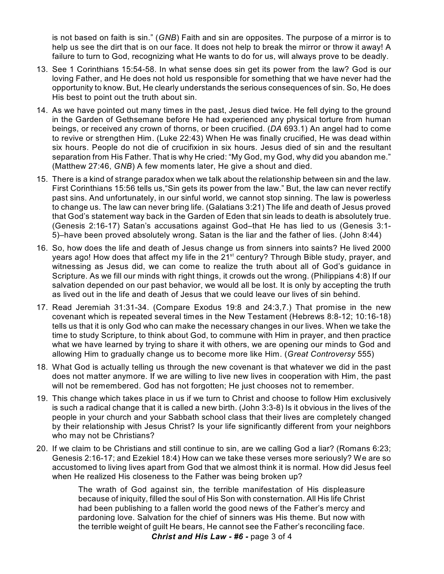is not based on faith is sin." (*GNB*) Faith and sin are opposites. The purpose of a mirror is to help us see the dirt that is on our face. It does not help to break the mirror or throw it away! A failure to turn to God, recognizing what He wants to do for us, will always prove to be deadly.

- 13. See 1 Corinthians 15:54-58. In what sense does sin get its power from the law? God is our loving Father, and He does not hold us responsible for something that we have never had the opportunity to know. But, He clearly understands the serious consequences of sin. So, He does His best to point out the truth about sin.
- 14. As we have pointed out many times in the past, Jesus died twice. He fell dying to the ground in the Garden of Gethsemane before He had experienced any physical torture from human beings, or received any crown of thorns, or been crucified. (*DA* 693.1) An angel had to come to revive or strengthen Him. (Luke 22:43) When He was finally crucified, He was dead within six hours. People do not die of crucifixion in six hours. Jesus died of sin and the resultant separation from His Father. That is why He cried: "My God, my God, why did you abandon me." (Matthew 27:46, *GNB*) A few moments later, He give a shout and died.
- 15. There is a kind of strange paradox when we talk about the relationship between sin and the law. First Corinthians 15:56 tells us,"Sin gets its power from the law." But, the law can never rectify past sins. And unfortunately, in our sinful world, we cannot stop sinning. The law is powerless to change us. The law can never bring life. (Galatians 3:21) The life and death of Jesus proved that God's statement way back in the Garden of Eden that sin leads to death is absolutely true. (Genesis 2:16-17) Satan's accusations against God–that He has lied to us (Genesis 3:1- 5)–have been proved absolutely wrong. Satan is the liar and the father of lies. (John 8:44)
- 16. So, how does the life and death of Jesus change us from sinners into saints? He lived 2000 years ago! How does that affect my life in the 21<sup>st</sup> century? Through Bible study, prayer, and witnessing as Jesus did, we can come to realize the truth about all of God's guidance in Scripture. As we fill our minds with right things, it crowds out the wrong. (Philippians 4:8) If our salvation depended on our past behavior, we would all be lost. It is only by accepting the truth as lived out in the life and death of Jesus that we could leave our lives of sin behind.
- 17. Read Jeremiah 31:31-34. (Compare Exodus 19:8 and 24:3,7.) That promise in the new covenant which is repeated several times in the New Testament (Hebrews 8:8-12; 10:16-18) tells us that it is only God who can make the necessary changes in our lives. When we take the time to study Scripture, to think about God, to commune with Him in prayer, and then practice what we have learned by trying to share it with others, we are opening our minds to God and allowing Him to gradually change us to become more like Him. (*Great Controversy* 555)
- 18. What God is actually telling us through the new covenant is that whatever we did in the past does not matter anymore. If we are willing to live new lives in cooperation with Him, the past will not be remembered. God has not forgotten; He just chooses not to remember.
- 19. This change which takes place in us if we turn to Christ and choose to follow Him exclusively is such a radical change that it is called a new birth. (John 3:3-8) Is it obvious in the lives of the people in your church and your Sabbath school class that their lives are completely changed by their relationship with Jesus Christ? Is your life significantly different from your neighbors who may not be Christians?
- 20. If we claim to be Christians and still continue to sin, are we calling God a liar? (Romans 6:23; Genesis 2:16-17; and Ezekiel 18:4) How can we take these verses more seriously? We are so accustomed to living lives apart from God that we almost think it is normal. How did Jesus feel when He realized His closeness to the Father was being broken up?

The wrath of God against sin, the terrible manifestation of His displeasure because of iniquity, filled the soul of His Son with consternation. All His life Christ had been publishing to a fallen world the good news of the Father's mercy and pardoning love. Salvation for the chief of sinners was His theme. But now with the terrible weight of guilt He bears, He cannot see the Father's reconciling face. *Christ and His Law - #6 -* page 3 of 4